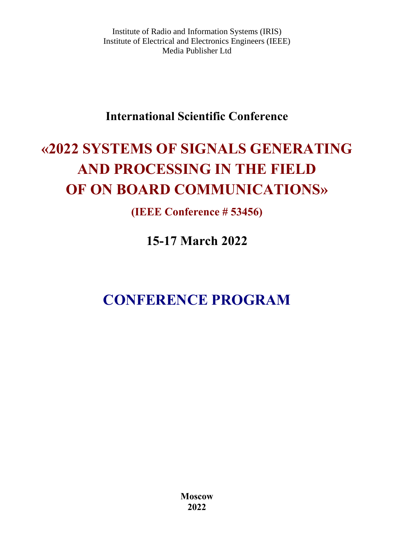Institute of Radio and Information Systems (IRIS) Institute of Electrical and Electronics Engineers (IEEE) Media Publisher Ltd

# **International Scientific Conference**

# **«2022 SYSTEMS OF SIGNALS GENERATING AND PROCESSING IN THE FIELD OF ON BOARD COMMUNICATIONS»**

**(IEEE Conference # 53456)**

**15-17 March 2022** 

# **CONFERENCE PROGRAM**

**Moscow 2022**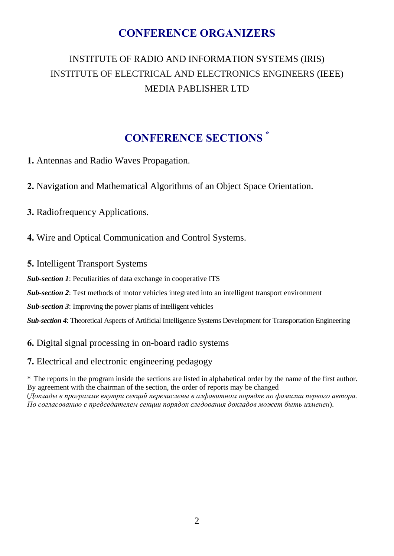# **CONFERENCE ORGANIZERS**

# INSTITUTE OF RADIO AND INFORMATION SYSTEMS (IRIS) INSTITUTE OF ELECTRICAL AND ELECTRONICS ENGINEERS (IEEE) MEDIA PABLISHER LTD

# **CONFERENCE SECTIONS \***

**1.** Antennas and Radio Waves Propagation.

- **2.** Navigation and Mathematical Algorithms of an Object Space Orientation.
- **3.** Radiofrequency Applications.
- **4.** Wire and Optical Communication and Control Systems.
- **5.** Intelligent Transport Systems
- *Sub-section 1*: Peculiarities of data exchange in cooperative ITS
- *Sub-section 2*: Test methods of motor vehicles integrated into an intelligent transport environment
- *Sub-section 3*: Improving the power plants of intelligent vehicles
- *Sub-section 4*: Theoretical Aspects of Artificial Intelligence Systems Development for Transportation Engineering

#### **6.** Digital signal processing in on-board radio systems

#### **7.** Electrical and electronic engineering pedagogy

\* The reports in the program inside the sections are listed in alphabetical order by the name of the first author. By agreement with the chairman of the section, the order of reports may be changed (*Доклады в программе внутри секций перечислены в алфавитном порядке по фамилии первого автора. По согласованию с председателем секции порядок следования докладов может быть изменен*).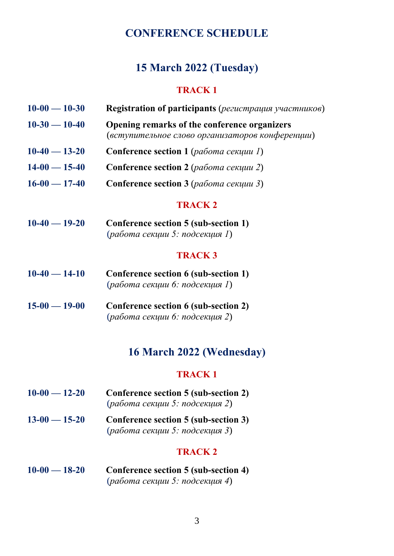# **CONFERENCE SCHEDULE**

# **15 March 2022 (Tuesday)**

#### **TRACK 1**

| $10-00 - 10-30$ | <b>Registration of participants</b> (регистрация участников) |
|-----------------|--------------------------------------------------------------|
| $10-30 - 10-40$ | <b>Opening remarks of the conference organizers</b>          |
|                 | (вступительное слово организаторов конференции)              |

- **10-40 13-20 Conference section 1** (*работа секции 1*)
- **14-00 15-40 Conference section 2** (*работа секции 2*)
- **16-00 17-40 Conference section 3** (*работа секции 3*)

#### **TRACK 2**

**10-40 — 19-20 Conference section 5 (sub-section 1)** (*работа секции 5: подсекция 1*)

#### **TRACK 3**

- **10-40 14-10 Conference section 6 (sub-section 1)** (*работа секции 6: подсекция 1*)
- **15-00 19-00 Conference section 6 (sub-section 2)** (*работа секции 6: подсекция 2*)

# **16 March 2022 (Wednesday)**

#### **TRACK 1**

- **10-00 12-20 Conference section 5 (sub-section 2)** (*работа секции 5: подсекция 2*)
- **13-00 15-20 Conference section 5 (sub-section 3)** (*работа секции 5: подсекция 3*)

#### **TRACK 2**

**10-00 — 18-20 Conference section 5 (sub-section 4)** (*работа секции 5: подсекция 4*)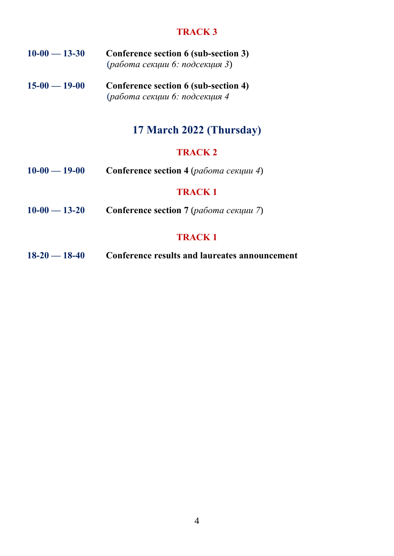#### **TRACK 3**

- **10-00 13-30 Conference section 6 (sub-section 3)** (*работа секции 6: подсекция 3*)
- **15-00 19-00 Conference section 6 (sub-section 4)** (*работа секции 6: подсекция 4*

# **17 March 2022 (Thursday)**

# **TRACK 2**

**10-00 — 19-00 Conference section 4** (*работа секции 4*)

#### **TRACK 1**

**10-00 — 13-20 Conference section 7** (*работа секции 7*)

# **TRACK 1**

**18-20 — 18-40 Conference results and laureates announcement**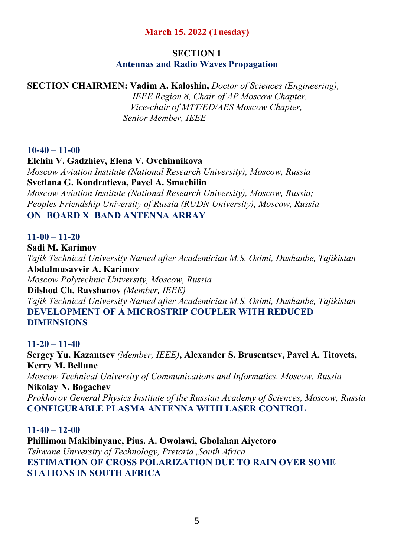# **March 15, 2022 (Tuesday)**

#### **SECTION 1 Antennas and Radio Waves Propagation**

# **SECTION CHAIRMEN: Vadim A. Kaloshin,** *Doctor of Sciences (Engineering),*

 *IEEE Region 8, Chair of AP Moscow Chapter, Vice-chair of MTT/ED/AES Moscow Chapter ,* *Senior Member, IEEE*

# **10-40 – 11-00**

**Elchin V. Gadzhiev, Elena V. Ovchinnikova**  *Moscow Aviation Institute (National Research University), Moscow, Russia*  **Svetlana G. Kondratieva, Pavel A. Smachilin**  *Moscow Aviation Institute (National Research University), Moscow, Russia; Peoples Friendship University of Russia (RUDN University), Moscow, Russia*  **ONBOARD XBAND ANTENNA ARRAY** 

# **11-00 – 11-20**

**Sadi M. Karimov**  *Tajik Technical University Named after Academician M.S. Osimi, Dushanbe, Tajikistan*  **Abdulmusavvir A. Karimov**  *Moscow Polytechnic University, Moscow, Russia*  **Dilshod Ch. Ravshanov** *(Member, IEEE) Tajik Technical University Named after Academician M.S. Osimi, Dushanbe, Tajikistan*  **DEVELOPMENT OF A MICROSTRIP COUPLER WITH REDUCED** 

**DIMENSIONS** 

# **11-20 – 11-40**

**Sergey Yu. Kazantsev** *(Member, IEEE)***, Alexander S. Brusentsev, Pavel A. Titovets, Kerry M. Bellune**  *Moscow Technical University of Communications and Informatics, Moscow, Russia*  **Nikolay N. Bogachev**  *Prokhorov General Physics Institute of the Russian Academy of Sciences, Moscow, Russia*  **CONFIGURABLE PLASMA ANTENNA WITH LASER CONTROL** 

**11-40 – 12-00 Phillimon Makibinyane, Pius. A. Owolawi, Gbolahan Aiyetoro**  *Tshwane University of Technology, Pretoria ,South Africa*  **ESTIMATION OF CROSS POLARIZATION DUE TO RAIN OVER SOME STATIONS IN SOUTH AFRICA**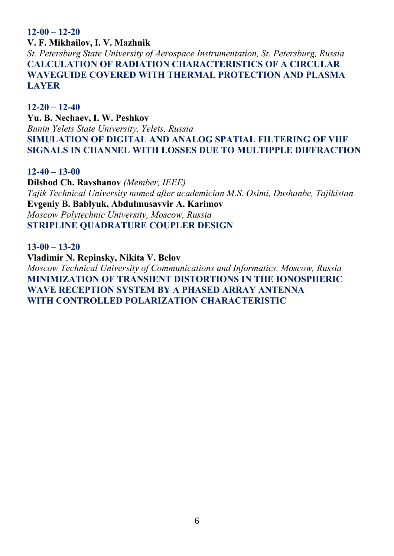**12-00 – 12-20**

**V. F. Mikhailov, I. V. Mazhnik** 

*St. Petersburg State University of Aerospace Instrumentation, St. Petersburg, Russia*  **CALCULATION OF RADIATION CHARACTERISTICS OF A CIRCULAR WAVEGUIDE COVERED WITH THERMAL PROTECTION AND PLASMA LAYER** 

**12-20 – 12-40 Yu. B. Nechaev, I. W. Peshkov**  *Bunin Yelets State University, Yelets, Russia*  **SIMULATION OF DIGITAL AND ANALOG SPATIAL FILTERING OF VHF SIGNALS IN CHANNEL WITH LOSSES DUE TO MULTIPPLE DIFFRACTION** 

**12-40 – 13-00**

**Dilshod Ch. Ravshanov** *(Member, IEEE) Tajik Technical University named after academician M.S. Osimi, Dushanbe, Tajikistan*  **Evgeniy Β. Bablyuk, Abdulmusavvir A. Karimov**  *Moscow Polytechnic University, Moscow, Russia*  **STRIPLINE QUADRATURE COUPLER DESIGN** 

**13-00 – 13-20**

**Vladimir N. Repinsky, Nikita V. Belov**  *Moscow Technical University of Communications and Informatics, Moscow, Russia*  **MINIMIZATION OF TRANSIENT DISTORTIONS IN THE IONOSPHERIC WAVE RECEPTION SYSTEM BY A PHASED ARRAY ANTENNA WITH CONTROLLED POLARIZATION CHARACTERISTIC**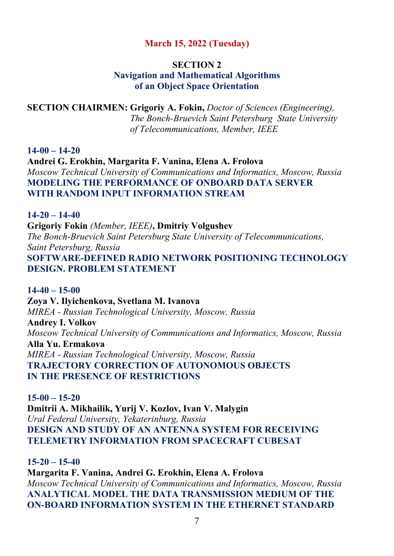#### **March 15, 2022 (Tuesday)**

#### **SECTION 2 Navigation and Mathematical Algorithms of an Object Space Orientation**

# **SECTION CHAIRMEN: Grigoriy A. Fokin,** *Doctor of Sciences (Engineering), The Bonch-Bruevich Saint Petersburg State University of Telecommunications, Member, IEEE*

**14-00 – 14-20**

**Andrei G. Erokhin, Margarita F. Vanina, Elena A. Frolova**  *Moscow Technical University of Communications and Informatics, Moscow, Russia*  **MODELING THE PERFORMANCE OF ONBOARD DATA SERVER WITH RANDOM INPUT INFORMATION STREAM** 

#### **14-20 – 14-40**

**Grigoriy Fokin** *(Member, IEEE)***, Dmitriy Volgushev**  *The Bonch-Bruevich Saint Petersburg State University of Telecommunications, Saint Petersburg, Russia*  **SOFTWARE-DEFINED RADIO NETWORK POSITIONING TECHNOLOGY DESIGN. PROBLEM STATEMENT** 

**14-40 – 15-00 Zoya V. Ilyichenkova, Svetlana M. Ivanova**  *MIREA - Russian Technological University, Moscow, Russia*  **Andrey I. Volkov**  *Moscow Technical University of Communications and Informatics, Moscow, Russia*  **Alla Yu. Ermakova**  *MIREA - Russian Technological University, Moscow, Russia*  **TRAJECTORY CORRECTION OF AUTONOMOUS OBJECTS IN THE PRESENCE OF RESTRICTIONS** 

**15-00 – 15-20 Dmitrii A. Mikhailik, Yurij V. Kozlov, Ivan V. Malygin**  *Ural Federal University, Yekaterinburg, Russia*  **DESIGN AND STUDY OF AN ANTENNA SYSTEM FOR RECEIVING TELEMETRY INFORMATION FROM SPACECRAFT CUBESAT** 

#### **15-20 – 15-40**

**Margarita F. Vanina, Andrei G. Erokhin, Elena A. Frolova**  *Moscow Technical University of Communications and Informatics, Moscow, Russia*  **ANALYTICAL MODEL THE DATA TRANSMISSION MEDIUM OF THE ON-BOARD INFORMATION SYSTEM IN THE ETHERNET STANDARD**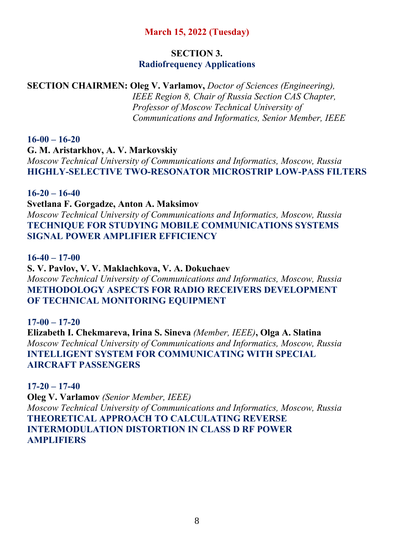# **March 15, 2022 (Tuesday)**

#### **SECTION 3. Radiofrequency Applications**

# **SECTION CHAIRMEN: Oleg V. Varlamov,** *Doctor of Sciences (Engineering),*

 *IEEE Region 8, Chair of Russia Section CAS Chapter, Professor of Moscow Technical University of Сommunications and Informatics, Senior Member, IEEE*

# **16-00 – 16-20**

**G. M. Aristarkhov, A. V. Markovskiy**  *Moscow Technical University of Communications and Informatics, Moscow, Russia*  **HIGHLY-SELECTIVE TWO-RESONATOR MICROSTRIP LOW-PASS FILTERS** 

# **16-20 – 16-40**

**Svetlana F. Gorgadze, Anton A. Maksimov**  *Moscow Technical University of Communications and Informatics, Moscow, Russia*  **TECHNIQUE FOR STUDYING MOBILE COMMUNICATIONS SYSTEMS SIGNAL POWER AMPLIFIER EFFICIENCY** 

#### **16-40 – 17-00**

**S. V. Pavlov, V. V. Maklachkova, V. A. Dokuchaev**  *Moscow Technical University of Communications and Informatics, Moscow, Russia*  **METHODOLOGY ASPECTS FOR RADIO RECEIVERS DEVELOPMENT OF TECHNICAL MONITORING EQUIPMENT** 

# **17-00 – 17-20 Elizabeth I. Chekmareva, Irina S. Sineva** *(Member, IEEE)***, Olga A. Slatina**  *Moscow Technical University of Communications and Informatics, Moscow, Russia*  **INTELLIGENT SYSTEM FOR COMMUNICATING WITH SPECIAL AIRCRAFT PASSENGERS**

# **17-20 – 17-40**

**Oleg V. Varlamov** *(Senior Member, IEEE) Moscow Technical University of Communications and Informatics, Moscow, Russia*  **THEORETICAL APPROACH TO CALCULATING REVERSE INTERMODULATION DISTORTION IN CLASS D RF POWER AMPLIFIERS**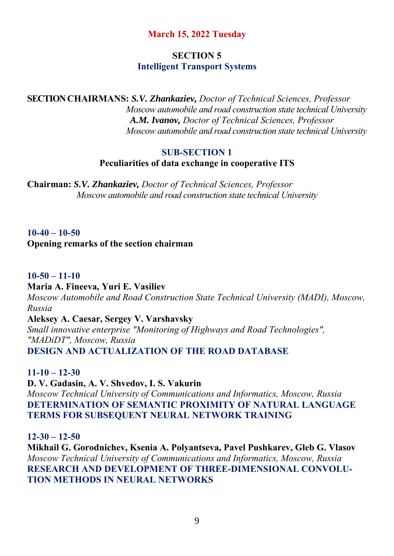# **March 15, 2022 Tuesday**

# **SECTION 5 Intelligent Transport Systems**

**SECTION CHAIRMANS:** *S.V. Zhankaziev, Doctor of Technical Sciences, Professor Moscow automobile and road construction state technical University A.M. Ivanov, Doctor of Technical Sciences, Professor Moscow automobile and road construction state technical University*

#### **SUB-SECTION 1 Peculiarities of data exchange in cooperative ITS**

**Chairman:** *S.V. Zhankaziev, Doctor of Technical Sciences, Professor Moscow automobile and road construction state technical University*

# **10-40 – 10-50 Opening remarks of the section chairman**

#### **10-50 – 11-10**

#### **Maria A. Fineeva, Yuri E. Vasiliev**

*Moscow Automobile and Road Construction State Technical University (MADI), Moscow, Russia* 

#### **Aleksey A. Caesar, Sergey V. Varshavsky**

*Small innovative enterprise "Monitoring of Highways and Road Technologies", "MADiDT", Moscow, Russia*  **DESIGN AND ACTUALIZATION OF THE ROAD DATABASE** 

**11-10 – 12-30**

**D. V. Gadasin, A. V. Shvedov, I. S. Vakurin**  *Moscow Technical University of Communications and Informatics, Moscow, Russia*  **DETERMINATION OF SEMANTIC PROXIMITY OF NATURAL LANGUAGE TERMS FOR SUBSEQUENT NEURAL NETWORK TRAINING** 

#### **12-30 – 12-50**

**Mikhail G. Gorodnichev, Ksenia A. Polyantseva, Pavel Pushkarev, Gleb G. Vlasov**  *Moscow Technical University of Communications and Informatics, Moscow, Russia*  **RESEARCH AND DEVELOPMENT OF THREE-DIMENSIONAL CONVOLU-TION METHODS IN NEURAL NETWORKS**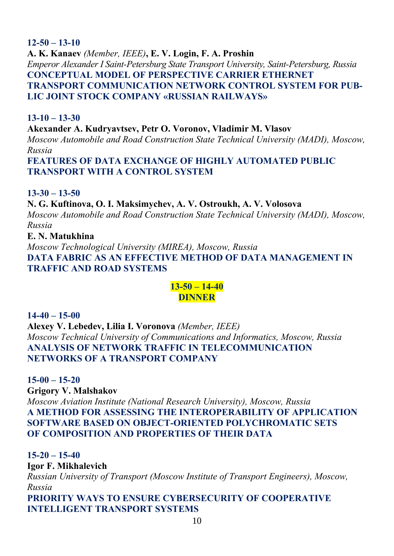#### **12-50 – 13-10**

**A. K. Kanaev** *(Member, IEEE)***, E. V. Login, F. A. Proshin**  *Emperor Alexander I Saint-Petersburg State Transport University, Saint-Petersburg, Russia*  **CONCEPTUAL MODEL OF PERSPECTIVE CARRIER ETHERNET TRANSPORT COMMUNICATION NETWORK CONTROL SYSTEM FOR PUB-LIC JOINT STOCK COMPANY «RUSSIAN RAILWAYS»** 

#### **13-10 – 13-30**

**Akexander A. Kudryavtsev, Petr O. Voronov, Vladimir M. Vlasov** 

*Moscow Automobile and Road Construction State Technical University (MADI), Moscow, Russia* 

**FEATURES OF DATA EXCHANGE OF HIGHLY AUTOMATED PUBLIC TRANSPORT WITH A CONTROL SYSTEM** 

# **13-30 – 13-50**

**N. G. Kuftinova, O. I. Maksimychev, A. V. Ostroukh, A. V. Volosova**  *Moscow Automobile and Road Construction State Technical University (MADI), Moscow, Russia* 

#### **E. N. Matukhina**

*Moscow Technological University (MIREA), Moscow, Russia*  **DATA FABRIC AS AN EFFECTIVE METHOD OF DATA MANAGEMENT IN TRAFFIC AND ROAD SYSTEMS** 

# **13-50 – 14-40 DINNER**

**14-40 – 15-00 Alexey V. Lebedev, Lilia I. Voronova** *(Member, IEEE) Moscow Technical University of Communications and Informatics, Moscow, Russia*  **ANALYSIS OF NETWORK TRAFFIC IN TELECOMMUNICATION NETWORKS OF A TRANSPORT COMPANY** 

**15-00 – 15-20 Grigory V. Malshakov**  *Moscow Aviation Institute (National Research University), Moscow, Russia*  **A METHOD FOR ASSESSING THE INTEROPERABILITY OF APPLICATION SOFTWARE BASED ON OBJECT-ORIENTED POLYCHROMATIC SETS OF COMPOSITION AND PROPERTIES OF THEIR DATA** 

**15-20 – 15-40 Igor F. Mikhalevich**  *Russian University of Transport (Moscow Institute of Transport Engineers), Moscow, Russia*  **PRIORITY WAYS TO ENSURE CYBERSECURITY OF COOPERATIVE** 

**INTELLIGENT TRANSPORT SYSTEMS**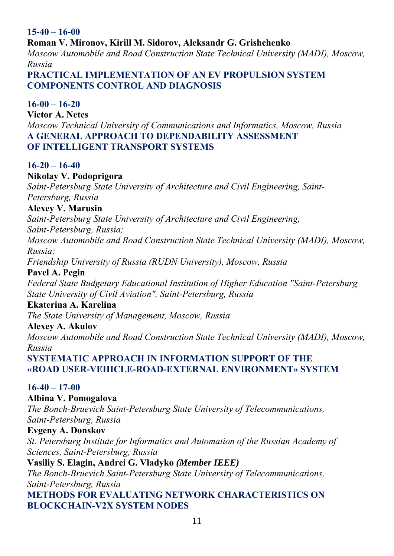# **15-40 – 16-00**

#### **Roman V. Mironov, Kirill M. Sidorov, Aleksandr G. Grishchenko**

*Moscow Automobile and Road Construction State Technical University (MADI), Moscow, Russia* 

#### **PRACTICAL IMPLEMENTATION OF AN EV PROPULSION SYSTEM COMPONENTS CONTROL AND DIAGNOSIS**

# **16-00 – 16-20**

**Victor A. Netes**  *Moscow Technical University of Communications and Informatics, Moscow, Russia*  **A GENERAL APPROACH TO DEPENDABILITY ASSESSMENT OF INTELLIGENT TRANSPORT SYSTEMS** 

# **16-20 – 16-40**

# **Nikolay V. Podoprigora**

*Saint-Petersburg State University of Architecture and Civil Engineering, Saint-Petersburg, Russia* 

#### **Alexey V. Marusin**

*Saint-Petersburg State University of Architecture and Civil Engineering,* 

*Saint-Petersburg, Russia;* 

*Moscow Automobile and Road Construction State Technical University (MADI), Moscow, Russia;* 

*Friendship University of Russia (RUDN University), Moscow, Russia* 

#### **Pavel A. Pegin**

*Federal State Budgetary Educational Institution of Higher Education "Saint-Petersburg State University of Civil Aviation", Saint-Petersburg, Russia* 

#### **Ekaterina A. Karelina**

*The State University of Management, Moscow, Russia* 

#### **Alexey A. Akulov**

*Moscow Automobile and Road Construction State Technical University (MADI), Moscow, Russia* 

**SYSTEMATIC APPROACH IN INFORMATION SUPPORT OF THE «ROAD USER-VEHICLE-ROAD-EXTERNAL ENVIRONMENT» SYSTEM** 

# **16-40 – 17-00**

# **Albina V. Pomogalova**

*The Bonch-Bruevich Saint-Petersburg State University of Telecommunications, Saint-Petersburg, Russia* 

#### **Evgeny A. Donskov**

*St. Petersburg Institute for Informatics and Automation of the Russian Academy of Sciences, Saint-Petersburg, Russia* 

#### **Vasiliy S. Elagin, Andrei G. Vladyko** *(Member IEEE)*

*The Bonch-Bruevich Saint-Petersburg State University of Telecommunications, Saint-Petersburg, Russia* 

**METHODS FOR EVALUATING NETWORK CHARACTERISTICS ON BLOCKCHAIN-V2X SYSTEM NODES**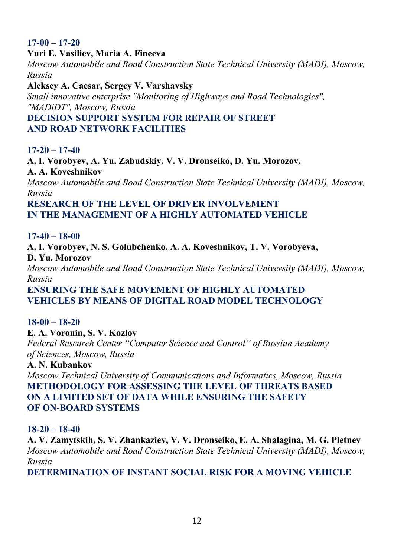# **17-00 – 17-20**

#### **Yuri E. Vasiliev, Maria A. Fineeva**

*Moscow Automobile and Road Construction State Technical University (MADI), Moscow, Russia* 

**Aleksey A. Caesar, Sergey V. Varshavsky** 

*Small innovative enterprise "Monitoring of Highways and Road Technologies", "MADiDT", Moscow, Russia* 

# **DECISION SUPPORT SYSTEM FOR REPAIR OF STREET AND ROAD NETWORK FACILITIES**

# **17-20 – 17-40**

**A. I. Vorobyev, A. Yu. Zabudskiy, V. V. Dronseiko, D. Yu. Morozov, A. A. Koveshnikov** 

*Moscow Automobile and Road Construction State Technical University (MADI), Moscow, Russia* 

# **RESEARCH OF THE LEVEL OF DRIVER INVOLVEMENT IN THE MANAGEMENT OF A HIGHLY AUTOMATED VEHICLE**

#### **17-40 – 18-00**

**A. I. Vorobyev, N. S. Golubchenko, A. A. Koveshnikov, T. V. Vorobyeva, D. Yu. Morozov** 

*Moscow Automobile and Road Construction State Technical University (MADI), Moscow, Russia* 

**ENSURING THE SAFE MOVEMENT OF HIGHLY AUTOMATED VEHICLES BY MEANS OF DIGITAL ROAD MODEL TECHNOLOGY** 

# **18-00 – 18-20**

**E. A. Voronin, S. V. Kozlov**  *Federal Research Center "Computer Science and Control" of Russian Academy of Sciences, Moscow, Russia* 

#### **A. N. Kubankov**

*Moscow Technical University of Communications and Informatics, Moscow, Russia*  **METHODOLOGY FOR ASSESSING THE LEVEL OF THREATS BASED ON A LIMITED SET OF DATA WHILE ENSURING THE SAFETY OF ON-BOARD SYSTEMS** 

#### **18-20 – 18-40**

**A. V. Zamytskih, S. V. Zhankaziev, V. V. Dronseiko, E. A. Shalagina, M. G. Pletnev**  *Moscow Automobile and Road Construction State Technical University (MADI), Moscow, Russia* 

**DETERMINATION OF INSTANT SOCIAL RISK FOR A MOVING VEHICLE**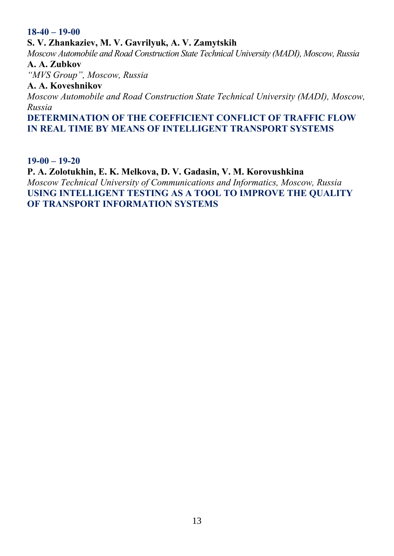#### **18-40 – 19-00**

**S. V. Zhankaziev, M. V. Gavrilyuk, A. V. Zamytskih** 

*Moscow Automobile and Road Construction State Technical University (MADI), Moscow, Russia*  **A. A. Zubkov** 

*"MVS Group", Moscow, Russia* 

#### **A. A. Koveshnikov**

*Moscow Automobile and Road Construction State Technical University (MADI), Moscow, Russia* 

**DETERMINATION OF THE COEFFICIENT CONFLICT OF TRAFFIC FLOW IN REAL TIME BY MEANS OF INTELLIGENT TRANSPORT SYSTEMS** 

#### **19-00 – 19-20**

**P. A. Zolotukhin, E. K. Melkova, D. V. Gadasin, V. M. Korovushkina**  *Moscow Technical University of Communications and Informatics, Moscow, Russia*  **USING INTELLIGENT TESTING AS A TOOL TO IMPROVE THE QUALITY OF TRANSPORT INFORMATION SYSTEMS**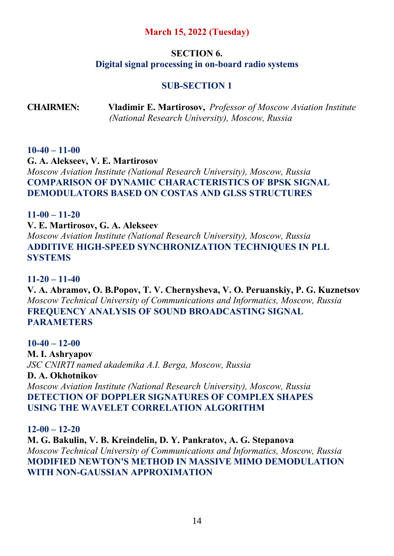# **March 15, 2022 (Tuesday)**

# **SECTION 6. Digital signal processing in on-board radio systems**

# **SUB-SECTION 1**

**CHAIRMEN: Vladimir E. Martirosov,** *Professor of Moscow Aviation Institute (National Research University), Moscow, Russia*

#### **10-40 – 11-00**

**G. A. Alekseev, V. E. Martirosov**  *Moscow Aviation Institute (National Research University), Moscow, Russia*  **COMPARISON OF DYNAMIC CHARACTERISTICS OF BPSK SIGNAL DEMODULATORS BASED ON COSTAS AND GLSS STRUCTURES** 

#### **11-00 – 11-20**

**V. E. Martirosov, G. A. Alekseev** 

*Moscow Aviation Institute (National Research University), Moscow, Russia*  **ADDITIVE HIGH-SPEED SYNCHRONIZATION TECHNIQUES IN PLL SYSTEMS** 

#### **11-20 – 11-40**

**V. A. Abramov, O. B.Popov, T. V. Chernysheva, V. O. Peruanskiy, P. G. Kuznetsov**  *Moscow Technical University of Communications and Informatics, Moscow, Russia*  **FREQUENCY ANALYSIS OF SOUND BROADCASTING SIGNAL PARAMETERS** 

#### **10-40 – 12-00**

**M. I. Ashryapov**  *JSC CNIRTI named akademika A.I. Berga, Moscow, Russia* 

**D. A. Okhotnikov** 

*Moscow Aviation Institute (National Research University), Moscow, Russia*  **DETECTION OF DOPPLER SIGNATURES OF COMPLEX SHAPES USING THE WAVELET CORRELATION ALGORITHM** 

**12-00 – 12-20** 

**M. G. Bakulin, V. B. Kreindelin, D. Y. Pankratov, A. G. Stepanova**  *Moscow Technical University of Communications and Informatics, Moscow, Russia*  **MODIFIED NEWTON'S METHOD IN MASSIVE MIMO DEMODULATION WITH NON-GAUSSIAN APPROXIMATION**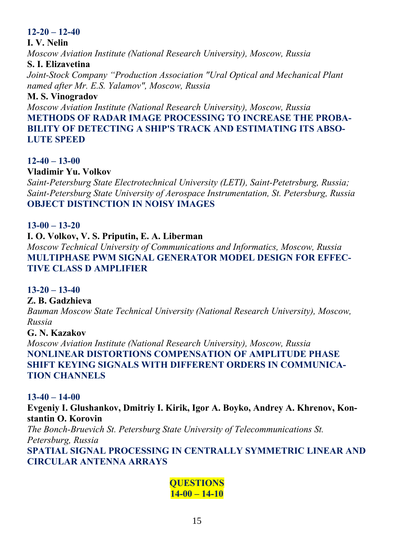# **12-20 – 12-40**

# **I. V. Nelin**

*Moscow Aviation Institute (National Research University), Moscow, Russia* 

# **S. I. Elizavetina**

*Joint-Stock Company "Production Association "Ural Optical and Mechanical Plant named after Mr. E.S. Yalamov", Moscow, Russia* 

# **M. S. Vinogradov**

*Moscow Aviation Institute (National Research University), Moscow, Russia*  **METHODS OF RADAR IMAGE PROCESSING TO INCREASE THE PROBA-BILITY OF DETECTING A SHIP'S TRACK AND ESTIMATING ITS ABSO-LUTE SPEED** 

# **12-40 – 13-00**

# **Vladimir Yu. Volkov**

*Saint-Petersburg State Electrotechnical University (LETI), Saint-Petetrsburg, Russia; Saint-Petersburg State University of Aerospace Instrumentation, St. Petersburg, Russia*  **OBJECT DISTINCTION IN NOISY IMAGES** 

# **13-00 – 13-20**

# **I. O. Volkov, V. S. Priputin, E. A. Liberman**

*Moscow Technical University of Communications and Informatics, Moscow, Russia*  **MULTIPHASE PWM SIGNAL GENERATOR MODEL DESIGN FOR EFFEC-TIVE CLASS D AMPLIFIER** 

# **13-20 – 13-40**

# **Z. B. Gadzhieva**

*Bauman Moscow State Technical University (National Research University), Moscow, Russia* 

#### **G. N. Kazakov**

*Moscow Aviation Institute (National Research University), Moscow, Russia*  **NONLINEAR DISTORTIONS COMPENSATION OF AMPLITUDE PHASE SHIFT KEYING SIGNALS WITH DIFFERENT ORDERS IN COMMUNICA-TION CHANNELS** 

#### **13-40 – 14-00**

**Evgeniy I. Glushankov, Dmitriy I. Kirik, Igor A. Boyko, Andrey A. Khrenov, Konstantin O. Korovin**  *The Bonch-Bruevich St. Petersburg State University of Telecommunications St. Petersburg, Russia*  **SPATIAL SIGNAL PROCESSING IN CENTRALLY SYMMETRIC LINEAR AND CIRCULAR ANTENNA ARRAYS** 

# **QUESTIONS 14-00 – 14-10**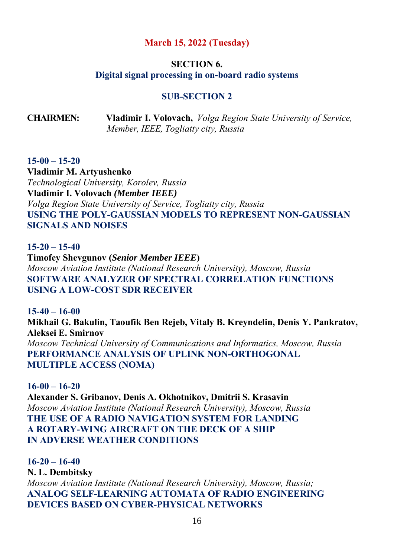#### **March 15, 2022 (Tuesday)**

#### **SECTION 6. Digital signal processing in on-board radio systems**

#### **SUB-SECTION 2**

**CHAIRMEN: Vladimir I. Volovach,** *Volga Region State University of Service, Member, IEEE, Togliatty city, Russia*

#### **15-00 – 15-20**

**Vladimir M. Artyushenko**  *Technological University, Korolev, Russia*  **Vladimir I. Volovach** *(Member IEEE) Volga Region State University of Service, Togliatty city, Russia*  **USING THE POLY-GAUSSIAN MODELS TO REPRESENT NON-GAUSSIAN SIGNALS AND NOISES** 

**15-20 – 15-40 Timofey Shevgunov (***Senior Member IEEE***)**  *Moscow Aviation Institute (National Research University), Moscow, Russia*  **SOFTWARE ANALYZER OF SPECTRAL CORRELATION FUNCTIONS USING A LOW-COST SDR RECEIVER** 

**15-40 – 16-00 Mikhail G. Bakulin, Taoufik Ben Rejeb, Vitaly B. Kreyndelin, Denis Y. Pankratov, Aleksei E. Smirnov**  *Moscow Technical University of Communications and Informatics, Moscow, Russia*  **PERFORMANCE ANALYSIS OF UPLINK NON-ORTHOGONAL MULTIPLE ACCESS (NOMA)** 

**16-00 – 16-20 Alexander S. Gribanov, Denis A. Okhotnikov, Dmitrii S. Krasavin**  *Moscow Aviation Institute (National Research University), Moscow, Russia*  **THE USE OF A RADIO NAVIGATION SYSTEM FOR LANDING A ROTARY-WING AIRCRAFT ON THE DECK OF A SHIP IN ADVERSE WEATHER CONDITIONS** 

**16-20 – 16-40 N. L. Dembitsky**  *Moscow Aviation Institute (National Research University), Moscow, Russia;*  **ANALOG SELF-LEARNING AUTOMATA OF RADIO ENGINEERING DEVICES BASED ON CYBER-PHYSICAL NETWORKS**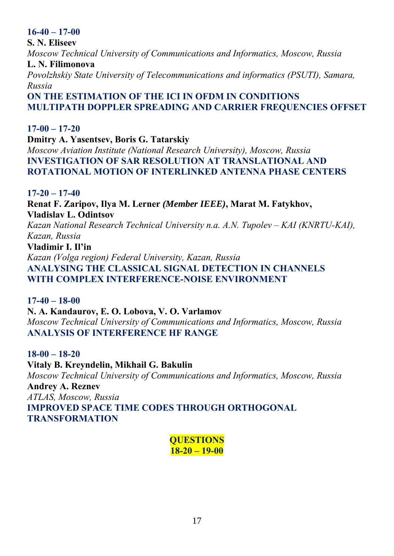# **16-40 – 17-00**

**S. N. Eliseev**  *Moscow Technical University of Communications and Informatics, Moscow, Russia*  **L. N. Filimonova** 

*Povolzhskiy State University of Telecommunications and informatics (PSUTI), Samara, Russia* 

**ON THE ESTIMATION OF THE ICI IN OFDM IN CONDITIONS MULTIPATH DOPPLER SPREADING AND CARRIER FREQUENCIES OFFSET** 

**17-00 – 17-20 Dmitry A. Yasentsev, Boris G. Tatarskiy**  *Moscow Aviation Institute (National Research University), Moscow, Russia*  **INVESTIGATION OF SAR RESOLUTION AT TRANSLATIONAL AND ROTATIONAL MOTION OF INTERLINKED ANTENNA PHASE CENTERS** 

#### **17-20 – 17-40**

**Renat F. Zaripov, Ilya M. Lerner** *(Member IEEE)***, Marat M. Fatykhov, Vladislav L. Odintsov**  *Kazan National Research Technical University n.a. A.N. Tupolev – KAI (KNRTU-KAI), Kazan, Russia*  **Vladimir I. Il'in**  *Kazan (Volga region) Federal University, Kazan, Russia*  **ANALYSING THE CLASSICAL SIGNAL DETECTION IN CHANNELS WITH COMPLEX INTERFERENCE-NOISE ENVIRONMENT** 

# **17-40 – 18-00**

**N. A. Kandaurov, E. O. Lobova, V. O. Varlamov**  *Moscow Technical University of Communications and Informatics, Moscow, Russia*  **ANALYSIS OF INTERFERENCE HF RANGE** 

**18-00 – 18-20** 

**Vitaly B. Kreyndelin, Mikhail G. Bakulin**  *Moscow Technical University of Communications and Informatics, Moscow, Russia*  **Andrey A. Reznev**  *ATLAS, Moscow, Russia* 

**IMPROVED SPACE TIME CODES THROUGH ORTHOGONAL TRANSFORMATION** 

> **QUESTIONS 18-20 – 19-00**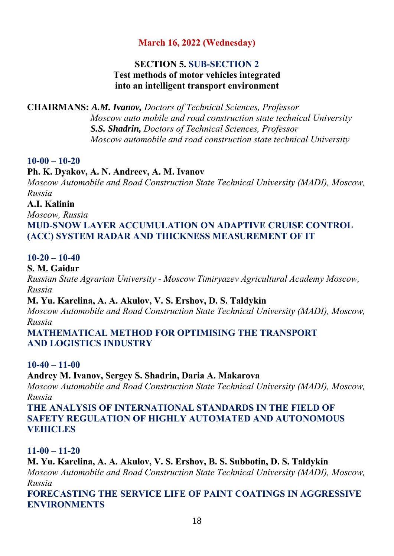# **March 16, 2022 (Wednesday)**

# **SECTION 5. SUB-SECTION 2 Test methods of motor vehicles integrated into an intelligent transport environment**

**CHAIRMANS:** *A.M. Ivanov, Doctors of Technical Sciences, Professor Moscow auto mobile and road construction state technical University S.S. Shadrin, Doctors of Technical Sciences, Professor Moscow automobile and road construction state technical University* 

#### **10-00 – 10-20**

#### **Ph. K. Dyakov, A. N. Andreev, A. M. Ivanov**

*Moscow Automobile and Road Construction State Technical University (MADI), Moscow, Russia* 

# **A.I. Kalinin**

*Moscow, Russia* 

# **MUD-SNOW LAYER ACCUMULATION ON ADAPTIVE CRUISE CONTROL (ACC) SYSTEM RADAR AND THICKNESS MEASUREMENT OF IT**

# **10-20 – 10-40**

**S. M. Gaidar** 

*Russian State Agrarian University - Moscow Timiryazev Agricultural Academy Moscow, Russia* 

#### **M. Yu. Karelina, A. A. Akulov, V. S. Ershov, D. S. Taldykin**

*Moscow Automobile and Road Construction State Technical University (MADI), Moscow, Russia* 

#### **MATHEMATICAL METHOD FOR OPTIMISING THE TRANSPORT AND LOGISTICS INDUSTRY**

#### **10-40 – 11-00**

#### **Andrey M. Ivanov, Sergey S. Shadrin, Daria A. Makarova**

*Moscow Automobile and Road Construction State Technical University (MADI), Moscow, Russia* 

**THE ANALYSIS OF INTERNATIONAL STANDARDS IN THE FIELD OF SAFETY REGULATION OF HIGHLY AUTOMATED AND AUTONOMOUS VEHICLES** 

#### **11-00 – 11-20**

**M. Yu. Karelina, A. A. Akulov, V. S. Ershov, B. S. Subbotin, D. S. Taldykin**  *Moscow Automobile and Road Construction State Technical University (MADI), Moscow, Russia* 

**FORECASTING THE SERVICE LIFE OF PAINT COATINGS IN AGGRESSIVE ENVIRONMENTS**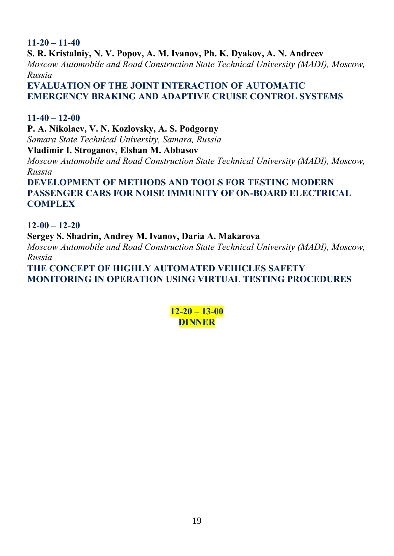#### **11-20 – 11-40 S. R. Kristalniy, N. V. Popov, A. M. Ivanov, Ph. K. Dyakov, A. N. Andreev**  *Moscow Automobile and Road Construction State Technical University (MADI), Moscow, Russia*  **EVALUATION OF THE JOINT INTERACTION OF AUTOMATIC EMERGENCY BRAKING AND ADAPTIVE CRUISE CONTROL SYSTEMS**

#### **11-40 – 12-00**

**P. A. Nikolaev, V. N. Kozlovsky, A. S. Podgorny**  *Samara State Technical University, Samara, Russia*  **Vladimir I. Stroganov, Elshan M. Abbasov** 

*Moscow Automobile and Road Construction State Technical University (MADI), Moscow, Russia* 

**DEVELOPMENT OF METHODS AND TOOLS FOR TESTING MODERN PASSENGER CARS FOR NOISE IMMUNITY OF ON-BOARD ELECTRICAL COMPLEX** 

#### **12-00 – 12-20**

**Sergey S. Shadrin, Andrey M. Ivanov, Daria A. Makarova**  *Moscow Automobile and Road Construction State Technical University (MADI), Moscow, Russia* 

**THE CONCEPT OF HIGHLY AUTOMATED VEHICLES SAFETY MONITORING IN OPERATION USING VIRTUAL TESTING PROCEDURES** 

> **12-20 – 13-00 DINNER**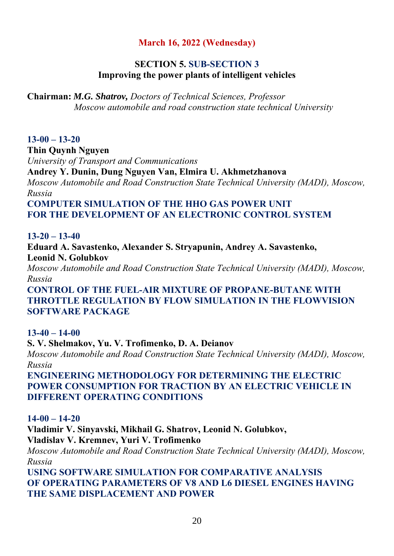# **March 16, 2022 (Wednesday)**

# **SECTION 5. SUB-SECTION 3 Improving the power plants of intelligent vehicles**

**Chairman:** *M.G. Shatrov, Doctors of Technical Sciences, Professor Moscow automobile and road construction state technical University* 

# **13-00 – 13-20**

**Thin Quynh Nguyen**  *University of Transport and Communications* 

**Andrey Y. Dunin, Dung Nguyen Van, Elmira U. Akhmetzhanova** 

*Moscow Automobile and Road Construction State Technical University (MADI), Moscow, Russia* 

**COMPUTER SIMULATION OF THE HHO GAS POWER UNIT FOR THE DEVELOPMENT OF AN ELECTRONIC CONTROL SYSTEM** 

**13-20 – 13-40**

**Eduard A. Savastenko, Alexander S. Stryapunin, Andrey A. Savastenko, Leonid N. Golubkov** 

*Moscow Automobile and Road Construction State Technical University (MADI), Moscow, Russia* 

**CONTROL OF THE FUEL-AIR MIXTURE OF PROPANE-BUTANE WITH THROTTLE REGULATION BY FLOW SIMULATION IN THE FLOWVISION SOFTWARE PACKAGE** 

# **13-40 – 14-00**

**S. V. Shelmakov, Yu. V. Trofimenko, D. A. Deianov** 

*Moscow Automobile and Road Construction State Technical University (MADI), Moscow, Russia* 

**ENGINEERING METHODOLOGY FOR DETERMINING THE ELECTRIC POWER CONSUMPTION FOR TRACTION BY AN ELECTRIC VEHICLE IN DIFFERENT OPERATING CONDITIONS** 

**14-00 – 14-20**

**Vladimir V. Sinyavski, Mikhail G. Shatrov, Leonid N. Golubkov, Vladislav V. Kremnev, Yuri V. Trofimenko** 

*Moscow Automobile and Road Construction State Technical University (MADI), Moscow, Russia* 

**USING SOFTWARE SIMULATION FOR COMPARATIVE ANALYSIS OF OPERATING PARAMETERS OF V8 AND L6 DIESEL ENGINES HAVING THE SAME DISPLACEMENT AND POWER**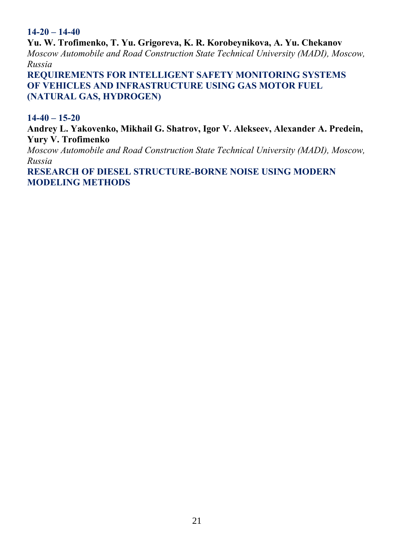# **14-20 – 14-40**

**Yu. W. Trofimenko, T. Yu. Grigoreva, K. R. Korobeynikova, A. Yu. Chekanov**  *Moscow Automobile and Road Construction State Technical University (MADI), Moscow, Russia* 

**REQUIREMENTS FOR INTELLIGENT SAFETY MONITORING SYSTEMS OF VEHICLES AND INFRASTRUCTURE USING GAS MOTOR FUEL (NATURAL GAS, HYDROGEN)** 

**14-40 – 15-20**

**Andrey L. Yakovenko, Mikhail G. Shatrov, Igor V. Alekseev, Alexander A. Predein, Yury V. Trofimenko** 

*Moscow Automobile and Road Construction State Technical University (MADI), Moscow, Russia* 

**RESEARCH OF DIESEL STRUCTURE-BORNE NOISE USING MODERN MODELING METHODS**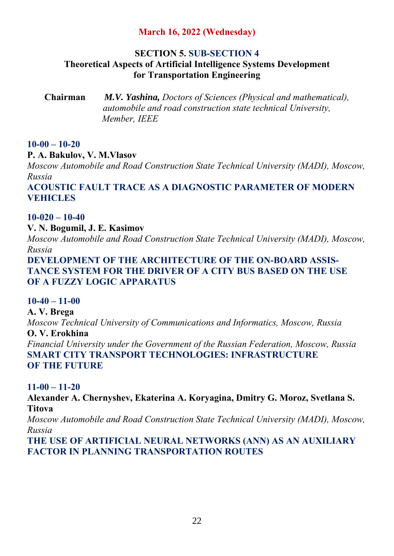# **March 16, 2022 (Wednesday)**

#### **SECTION 5. SUB-SECTION 4**

# **Theoretical Aspects of Artificial Intelligence Systems Development for Transportation Engineering**

**Chairman** *M.V. Yashina, Doctors of Sciences (Physical and mathematical), automobile and road construction state technical University, Member, IEEE* 

# **10-00 – 10-20**

# **P. A. Bakulov, V. M.Vlasov**

*Moscow Automobile and Road Construction State Technical University (MADI), Moscow, Russia* 

# **ACOUSTIC FAULT TRACE AS A DIAGNOSTIC PARAMETER OF MODERN VEHICLES**

# **10-020 – 10-40**

# **V. N. Bogumil, J. E. Kasimov**

*Moscow Automobile and Road Construction State Technical University (MADI), Moscow, Russia* 

# **DEVELOPMENT OF THE ARCHITECTURE OF THE ON-BOARD ASSIS-TANCE SYSTEM FOR THE DRIVER OF A CITY BUS BASED ON THE USE OF A FUZZY LOGIC APPARATUS**

# **10-40 – 11-00**

**A. V. Brega**  *Moscow Technical University of Communications and Informatics, Moscow, Russia*  **O. V. Erokhina**  *Financial University under the Government of the Russian Federation, Moscow, Russia* **SMART CITY TRANSPORT TECHNOLOGIES: INFRASTRUCTURE OF THE FUTURE** 

# **11-00 – 11-20**

**Alexander A. Chernyshev, Ekaterina A. Koryagina, Dmitry G. Moroz, Svetlana S. Titova** 

*Moscow Automobile and Road Construction State Technical University (MADI), Moscow, Russia* 

**THE USE OF ARTIFICIAL NEURAL NETWORKS (ANN) AS AN AUXILIARY FACTOR IN PLANNING TRANSPORTATION ROUTES**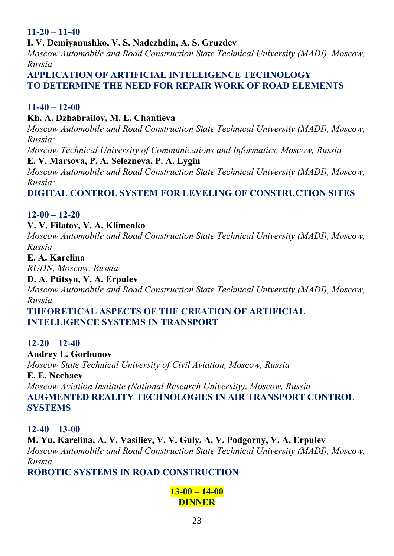# **11-20 – 11-40**

# **I. V. Demiyanushko, V. S. Nadezhdin, A. S. Gruzdev**

*Moscow Automobile and Road Construction State Technical University (MADI), Moscow, Russia* 

**APPLICATION OF ARTIFICIAL INTELLIGENCE TECHNOLOGY TO DETERMINE THE NEED FOR REPAIR WORK OF ROAD ELEMENTS** 

#### **11-40 – 12-00**

#### **Kh. A. Dzhabrailov, M. E. Chantieva**

*Moscow Automobile and Road Construction State Technical University (MADI), Moscow, Russia;* 

*Moscow Technical University of Communications and Informatics, Moscow, Russia*  **E. V. Marsova, P. A. Selezneva, P. A. Lygin** 

*Moscow Automobile and Road Construction State Technical University (MADI), Moscow, Russia;* 

# **DIGITAL CONTROL SYSTEM FOR LEVELING OF CONSTRUCTION SITES**

#### **12-00 – 12-20**

#### **V. V. Filatov, V. A. Klimenko**

*Moscow Automobile and Road Construction State Technical University (MADI), Moscow, Russia* 

#### **E. A. Karelina**

*RUDN, Moscow, Russia* 

#### **D. A. Ptitsyn, V. A. Erpulev**

*Moscow Automobile and Road Construction State Technical University (MADI), Moscow, Russia* 

#### **THEORETICAL ASPECTS OF THE CREATION OF ARTIFICIAL INTELLIGENCE SYSTEMS IN TRANSPORT**

#### **12-20 – 12-40**

#### **Andrey L. Gorbunov**

*Moscow State Technical University of Civil Aviation, Moscow, Russia* 

#### **E. E. Nechaev**

*Moscow Aviation Institute (National Research University), Moscow, Russia*  **AUGMENTED REALITY TECHNOLOGIES IN AIR TRANSPORT CONTROL SYSTEMS** 

#### **12-40 – 13-00**

**M. Yu. Karelina, A. V. Vasiliev, V. V. Guly, A. V. Podgorny, V. A. Erpulev**  *Moscow Automobile and Road Construction State Technical University (MADI), Moscow, Russia* 

# **ROBOTIC SYSTEMS IN ROAD CONSTRUCTION**

# **13-00 – 14-00 DINNER**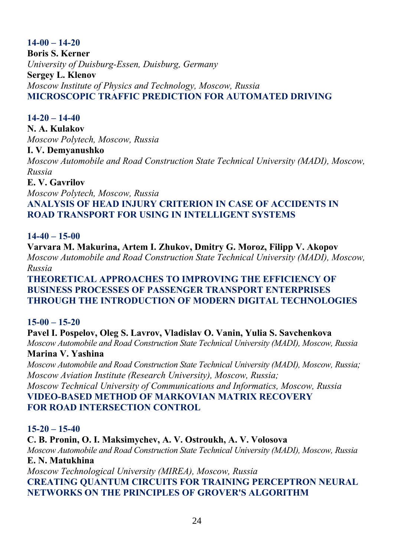#### **14-00 – 14-20 Boris S. Kerner**  *University of Duisburg-Essen, Duisburg, Germany*  **Sergey L. Klenov**  *Moscow Institute of Physics and Technology, Moscow, Russia*  **MICROSCOPIC TRAFFIC PREDICTION FOR AUTOMATED DRIVING**

# **14-20 – 14-40**

**N. A. Kulakov**  *Moscow Polytech, Moscow, Russia* 

#### **I. V. Demyanushko**

*Moscow Automobile and Road Construction State Technical University (MADI), Moscow, Russia* 

#### **E. V. Gavrilov**

*Moscow Polytech, Moscow, Russia* 

# **ANALYSIS OF HEAD INJURY CRITERION IN CASE OF ACCIDENTS IN ROAD TRANSPORT FOR USING IN INTELLIGENT SYSTEMS**

# **14-40 – 15-00**

**Varvara M. Makurina, Artem I. Zhukov, Dmitry G. Moroz, Filipp V. Akopov**  *Moscow Automobile and Road Construction State Technical University (MADI), Moscow, Russia* 

#### **THEORETICAL APPROACHES TO IMPROVING THE EFFICIENCY OF BUSINESS PROCESSES OF PASSENGER TRANSPORT ENTERPRISES THROUGH THE INTRODUCTION OF MODERN DIGITAL TECHNOLOGIES**

# **15-00 – 15-20**

# **Pavel I. Pospelov, Oleg S. Lavrov, Vladislav O. Vanin, Yulia S. Savchenkova**

*Moscow Automobile and Road Construction State Technical University (MADI), Moscow, Russia*  **Marina V. Yashina** 

*Moscow Automobile and Road Construction State Technical University (MADI), Moscow, Russia; Moscow Aviation Institute (Research University), Moscow, Russia; Moscow Technical University of Communications and Informatics, Moscow, Russia* 

# **VIDEO-BASED METHOD OF MARKOVIAN MATRIX RECOVERY FOR ROAD INTERSECTION CONTROL**

# **15-20 – 15-40**

# **C. B. Pronin, O. I. Maksimychev, A. V. Ostroukh, A. V. Volosova**

*Moscow Automobile and Road Construction State Technical University (MADI), Moscow, Russia*  **E. N. Matukhina** 

*Moscow Technological University (MIREA), Moscow, Russia*  **CREATING QUANTUM CIRCUITS FOR TRAINING PERCEPTRON NEURAL NETWORKS ON THE PRINCIPLES OF GROVER'S ALGORITHM**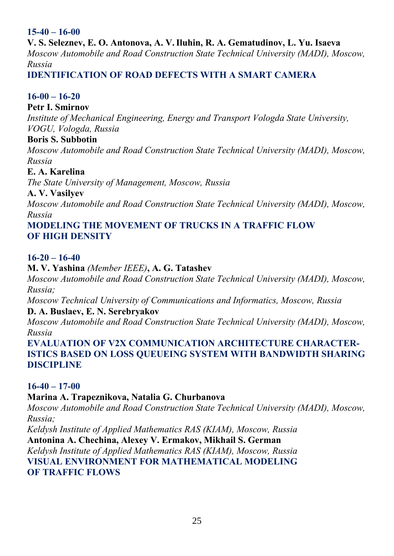# **15-40 – 16-00**

**V. S. Seleznev, E. O. Antonova, A. V.Iluhin, R. A. Gematudinov, L. Yu. Isaeva**  *Moscow Automobile and Road Construction State Technical University (MADI), Moscow, Russia* 

# **IDENTIFICATION OF ROAD DEFECTS WITH A SMART CAMERA**

# **16-00 – 16-20**

# **Petr I. Smirnov**

*Institute of Mechanical Engineering, Energy and Transport Vologda State University, VOGU, Vologda, Russia* 

# **Boris S. Subbotin**

*Moscow Automobile and Road Construction State Technical University (MADI), Moscow, Russia* 

#### **E. A. Karelina**

*The State University of Management, Moscow, Russia* 

# **A. V. Vasilyev**

*Moscow Automobile and Road Construction State Technical University (MADI), Moscow, Russia* 

# **MODELING THE MOVEMENT OF TRUCKS IN A TRAFFIC FLOW OF HIGH DENSITY**

# **16-20 – 16-40**

# **M. V. Yashina** *(Member IEEE)***, A. G. Tatashev**

*Moscow Automobile and Road Construction State Technical University (MADI), Moscow, Russia;* 

*Moscow Technical University of Communications and Informatics, Moscow, Russia*  **D. A. Buslaev, E. N. Serebryakov** 

*Moscow Automobile and Road Construction State Technical University (MADI), Moscow, Russia* 

**EVALUATION OF V2X COMMUNICATION ARCHITECTURE CHARACTER-ISTICS BASED ON LOSS QUEUEING SYSTEM WITH BANDWIDTH SHARING DISCIPLINE** 

# **16-40 – 17-00**

# **Marina A. Trapeznikova, Natalia G. Churbanova**

*Moscow Automobile and Road Construction State Technical University (MADI), Moscow, Russia;* 

*Keldysh Institute of Applied Mathematics RAS (KIAM), Moscow, Russia*  **Antonina A. Chechina, Alexey V. Ermakov, Mikhail S. German** 

*Keldysh Institute of Applied Mathematics RAS (KIAM), Moscow, Russia*  **VISUAL ENVIRONMENT FOR MATHEMATICAL MODELING OF TRAFFIC FLOWS**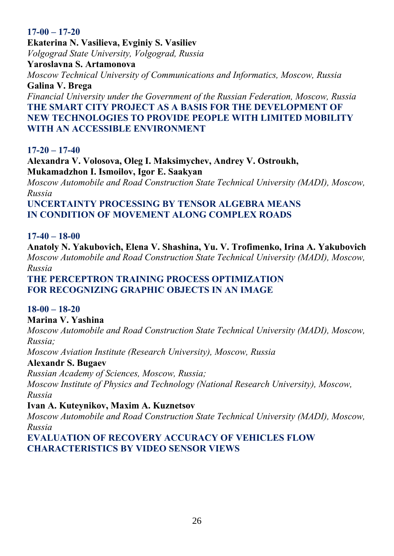# **17-00 – 17-20**

**Ekaterina N. Vasilieva, Evginiy S. Vasiliev**  *Volgograd State University, Volgograd, Russia* 

**Yaroslavna S. Artamonova** 

*Moscow Technical University of Communications and Informatics, Moscow, Russia*  **Galina V. Brega** 

*Financial University under the Government of the Russian Federation, Moscow, Russia*  **THE SMART CITY PROJECT AS A BASIS FOR THE DEVELOPMENT OF NEW TECHNOLOGIES TO PROVIDE PEOPLE WITH LIMITED MOBILITY WITH AN ACCESSIBLE ENVIRONMENT** 

# **17-20 – 17-40**

**Alexandra V. Volosova, Oleg I. Maksimychev, Andrey V. Ostroukh, Mukamadzhon I. Ismoilov, Igor E. Saakyan** 

*Moscow Automobile and Road Construction State Technical University (MADI), Moscow, Russia* 

**UNCERTAINTY PROCESSING BY TENSOR ALGEBRA MEANS IN CONDITION OF MOVEMENT ALONG COMPLEX ROADS** 

# **17-40 – 18-00**

**Anatoly N. Yakubovich, Elena V. Shashina, Yu. V. Trofimenko, Irina A. Yakubovich**  *Moscow Automobile and Road Construction State Technical University (MADI), Moscow, Russia* 

# **THE PERCEPTRON TRAINING PROCESS OPTIMIZATION FOR RECOGNIZING GRAPHIC OBJECTS IN AN IMAGE**

# **18-00 – 18-20**

# **Marina V. Yashina**

*Moscow Automobile and Road Construction State Technical University (MADI), Moscow, Russia;* 

*Moscow Aviation Institute (Research University), Moscow, Russia* 

# **Alexandr S. Bugaev**

*Russian Academy of Sciences, Moscow, Russia;* 

*Moscow Institute of Physics and Technology (National Research University), Moscow, Russia* 

# **Ivan A. Kuteynikov, Maxim A. Kuznetsov**

*Moscow Automobile and Road Construction State Technical University (MADI), Moscow, Russia* 

**EVALUATION OF RECOVERY ACCURACY OF VEHICLES FLOW CHARACTERISTICS BY VIDEO SENSOR VIEWS**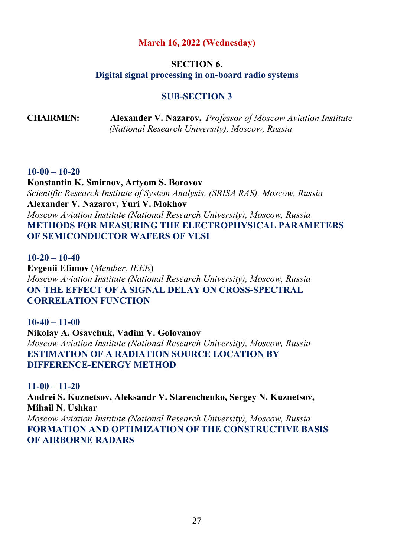#### **March 16, 2022 (Wednesday)**

#### **SECTION 6. Digital signal processing in on-board radio systems**

# **SUB-SECTION 3**

**CHAIRMEN: Alexander V. Nazarov,** *Professor of Moscow Aviation Institute (National Research University), Moscow, Russia*

#### **10-00 – 10-20**

**Konstantin K. Smirnov, Artyom S. Borovov**  *Scientific Research Institute of System Analysis, (SRISA RAS), Moscow, Russia*  **Alexander V. Nazarov, Yuri V. Mokhov**  *Moscow Aviation Institute (National Research University), Moscow, Russia*  **METHODS FOR MEASURING THE ELECTROPHYSICAL PARAMETERS OF SEMICONDUCTOR WAFERS OF VLSI** 

**10-20 – 10-40 Evgenii Efimov** (*Member, IEEE*) *Moscow Aviation Institute (National Research University), Moscow, Russia*  **ON THE EFFECT OF A SIGNAL DELAY ON CROSS-SPECTRAL CORRELATION FUNCTION** 

**10-40 – 11-00 Nikolay A. Osavchuk, Vadim V. Golovanov**  *Moscow Aviation Institute (National Research University), Moscow, Russia*  **ESTIMATION OF A RADIATION SOURCE LOCATION BY DIFFERENCE-ENERGY METHOD** 

**11-00 – 11-20 Andrei S. Kuznetsov, Aleksandr V. Starenchenko, Sergey N. Kuznetsov, Mihail N. Ushkar**  *Moscow Aviation Institute (National Research University), Moscow, Russia*  **FORMATION AND OPTIMIZATION OF THE CONSTRUCTIVE BASIS OF AIRBORNE RADARS**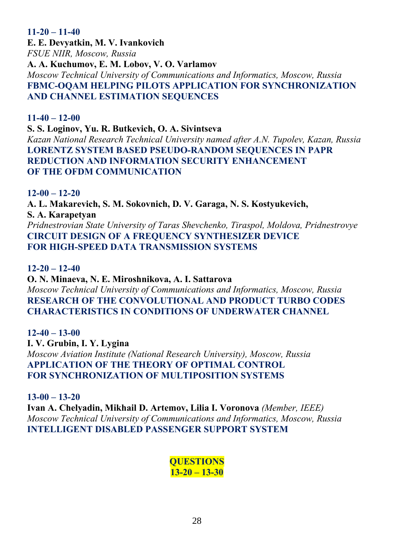#### **11-20 – 11-40**

**E. E. Devyatkin, M. V. Ivankovich**  *FSUE NIIR, Moscow, Russia*  **A. A. Kuchumov, E. M. Lobov, V. O. Varlamov**  *Moscow Technical University of Communications and Informatics, Moscow, Russia*  **FBMC-OQAM HELPING PILOTS APPLICATION FOR SYNCHRONIZATION AND CHANNEL ESTIMATION SEQUENCES** 

#### **11-40 – 12-00**

#### **S. S. Loginov, Yu. R. Butkevich, O. A. Sivintseva**

*Kazan National Research Technical University named after A.N. Tupolev, Kazan, Russia*  **LORENTZ SYSTEM BASED PSEUDO-RANDOM SEQUENCES IN PAPR REDUCTION AND INFORMATION SECURITY ENHANCEMENT OF THE OFDM COMMUNICATION** 

#### **12-00 – 12-20**

**A. L. Makarevich, S. M. Sokovnich, D. V. Garaga, N. S. Kostyukevich, S. A. Karapetyan**  *Pridnestrovian State University of Taras Shevchenko, Tiraspol, Moldova, Pridnestrovye*  **CIRCUIT DESIGN OF A FREQUENCY SYNTHESIZER DEVICE FOR HIGH-SPEED DATA TRANSMISSION SYSTEMS** 

#### **12-20 – 12-40**

#### **O. N. Minaeva, N. E. Miroshnikova, A. I. Sattarova**

*Moscow Technical University of Communications and Informatics, Moscow, Russia*  **RESEARCH OF THE CONVOLUTIONAL AND PRODUCT TURBO CODES CHARACTERISTICS IN CONDITIONS OF UNDERWATER CHANNEL** 

# **12-40 – 13-00**

**I. V. Grubin, I. Y. Lygina**  *Moscow Aviation Institute (National Research University), Moscow, Russia*  **APPLICATION OF THE THEORY OF OPTIMAL CONTROL FOR SYNCHRONIZATION OF MULTIPOSITION SYSTEMS** 

**13-00 – 13-20**

**Ivan A. Chelyadin, Mikhail D. Artemov, Lilia I. Voronova** *(Member, IEEE) Moscow Technical University of Communications and Informatics, Moscow, Russia*  **INTELLIGENT DISABLED PASSENGER SUPPORT SYSTEM** 

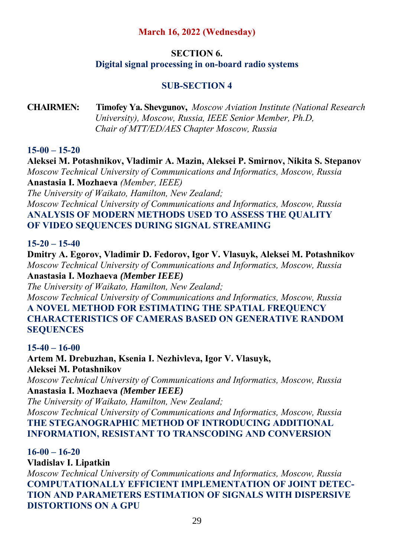# **March 16, 2022 (Wednesday)**

# **SECTION 6.**

# **Digital signal processing in on-board radio systems**

# **SUB-SECTION 4**

**CHAIRMEN: Timofey Ya. Shevgunov,** *Moscow Aviation Institute (National Research University), Moscow, Russia, IEEE Senior Member, Ph.D, Chair of MTT/ED/AES Chapter Moscow, Russia* 

# **15-00 – 15-20**

**Aleksei M. Potashnikov, Vladimir A. Mazin, Aleksei P. Smirnov, Nikita S. Stepanov**  *Moscow Technical University of Communications and Informatics, Moscow, Russia*  **Anastasia I. Mozhaeva** *(Member, IEEE)*

*The University of Waikato, Hamilton, New Zealand; Moscow Technical University of Communications and Informatics, Moscow, Russia*  **ANALYSIS OF MODERN METHODS USED TO ASSESS THE QUALITY OF VIDEO SEQUENCES DURING SIGNAL STREAMING** 

# **15-20 – 15-40**

**Dmitry A. Egorov, Vladimir D. Fedorov, Igor V. Vlasuyk, Aleksei M. Potashnikov**  *Moscow Technical University of Communications and Informatics, Moscow, Russia*  **Anastasia I. Mozhaeva** *(Member IEEE)*

*The University of Waikato, Hamilton, New Zealand; Moscow Technical University of Communications and Informatics, Moscow, Russia* 

**A NOVEL METHOD FOR ESTIMATING THE SPATIAL FREQUENCY CHARACTERISTICS OF CAMERAS BASED ON GENERATIVE RANDOM SEQUENCES** 

# **15-40 – 16-00**

**Artem M. Drebuzhan, Ksenia I. Nezhivleva, Igor V. Vlasuyk, Aleksei M. Potashnikov**  *Moscow Technical University of Communications and Informatics, Moscow, Russia*  **Anastasia I. Mozhaeva** *(Member IEEE)*

*The University of Waikato, Hamilton, New Zealand;* 

*Moscow Technical University of Communications and Informatics, Moscow, Russia*  **THE STEGANOGRAPHIC METHOD OF INTRODUCING ADDITIONAL INFORMATION, RESISTANT TO TRANSCODING AND CONVERSION** 

**16-00 – 16-20**

**Vladislav I. Lipatkin**  *Moscow Technical University of Communications and Informatics, Moscow, Russia*  **COMPUTATIONALLY EFFICIENT IMPLEMENTATION OF JOINT DETEC-TION AND PARAMETERS ESTIMATION OF SIGNALS WITH DISPERSIVE DISTORTIONS ON A GPU**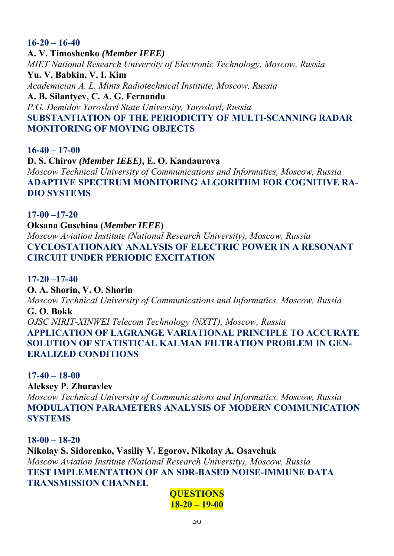**16-20 – 16-40 A. V. Timoshenko** *(Member IEEE) MIET National Research University of Electronic Technology, Moscow, Russia*  **Yu. V. Babkin, V. I. Kim**  *Academician A. L. Mints Radiotechnical Institute, Moscow, Russia*  **A. B. Silantyev, C. A. G. Fernandu**  *P.G. Demidov Yaroslavl State University, Yaroslavl, Russia*  **SUBSTANTIATION OF THE PERIODICITY OF MULTI-SCANNING RADAR MONITORING OF MOVING OBJECTS** 

**16-40 – 17-00 D. S. Chirov** *(Member IEEE)***, E. O. Kandaurova**  *Moscow Technical University of Communications and Informatics, Moscow, Russia*  **ADAPTIVE SPECTRUM MONITORING ALGORITHM FOR COGNITIVE RA-DIO SYSTEMS** 

**17-00 –17-20 Oksana Guschina (***Member IEEE***)**  *Moscow Aviation Institute (National Research University), Moscow, Russia*  **CYCLOSTATIONARY ANALYSIS OF ELECTRIC POWER IN A RESONANT CIRCUIT UNDER PERIODIC EXCITATION** 

**17-20 –17-40 O. A. Shorin, V. O. Shorin**  *Moscow Technical University of Communications and Informatics, Moscow, Russia*  **G. O. Bokk**  *OJSC NIRIT-XINWEI Telecom Technology (NXTT), Moscow, Russia*  **APPLICATION OF LAGRANGE VARIATIONAL PRINCIPLE TO ACCURATE SOLUTION OF STATISTICAL KALMAN FILTRATION PROBLEM IN GEN-ERALIZED CONDITIONS** 

**17-40 – 18-00 Aleksey P. Zhuravlev**  *Moscow Technical University of Communications and Informatics, Moscow, Russia*  **MODULATION PARAMETERS ANALYSIS OF MODERN COMMUNICATION SYSTEMS** 

**18-00 – 18-20 Nikolay S. Sidorenko, Vasiliy V. Egorov, Nikolay A. Osavchuk**  *Moscow Aviation Institute (National Research University), Moscow, Russia*  **TEST IMPLEMENTATION OF AN SDR-BASED NOISE-IMMUNE DATA TRANSMISSION CHANNEL** 

# **QUESTIONS 18-20 – 19-00**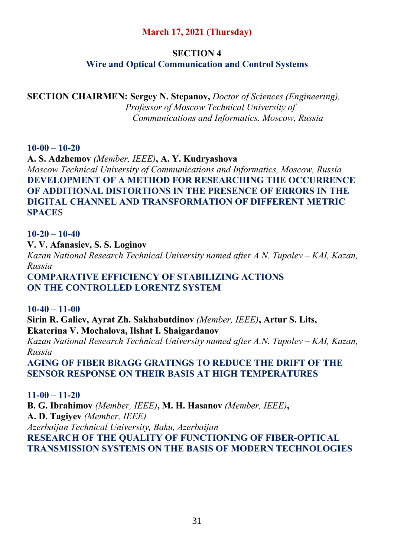# **March 17, 2021 (Thursday)**

# **SECTION 4**

# **Wire and Optical Communication and Control Systems**

**SECTION CHAIRMEN: Sergey N. Stepanov,** *Doctor of Sciences (Engineering), Professor of Moscow Technical University of Сommunications and Informatics. Moscow, Russia* 

# **10-00 – 10-20**

**A. S. Adzhemov** *(Member, IEEE)***, A. Y. Kudryashova** 

*Moscow Technical University of Communications and Informatics, Moscow, Russia*  **DEVELOPMENT OF A METHOD FOR RESEARCHING THE OCCURRENCE OF ADDITIONAL DISTORTIONS IN THE PRESENCE OF ERRORS IN THE DIGITAL CHANNEL AND TRANSFORMATION OF DIFFERENT METRIC SPACE**S

# **10-20 – 10-40**

**V. V. Afanasiev, S. S. Loginov** 

*Kazan National Research Technical University named after A.N. Tupolev – KAI, Kazan, Russia* 

**COMPARATIVE EFFICIENCY OF STABILIZING ACTIONS ON THE CONTROLLED LORENTZ SYSTEM** 

# **10-40 – 11-00**

**Sirin R. Galiev, Ayrat Zh. Sakhabutdinov** *(Member, IEEE)***, Artur S. Lits, Ekaterina V. Mochalova, Ilshat I. Shaigardanov** 

*Kazan National Research Technical University named after A.N. Tupolev – KAI, Kazan, Russia* 

**AGING OF FIBER BRAGG GRATINGS TO REDUCE THE DRIFT OF THE SENSOR RESPONSE ON THEIR BASIS AT HIGH TEMPERATURES** 

# **11-00 – 11-20**

**B. G. Ibrahimov** *(Member, IEEE)***, M. H. Hasanov** *(Member, IEEE)***, A. D. Tagiyev** *(Member, IEEE) Azerbaijan Technical University, Baku, Azerbaijan*  **RESEARCH OF THE QUALITY OF FUNCTIONING OF FIBER-OPTICAL TRANSMISSION SYSTEMS ON THE BASIS OF MODERN TECHNOLOGIES**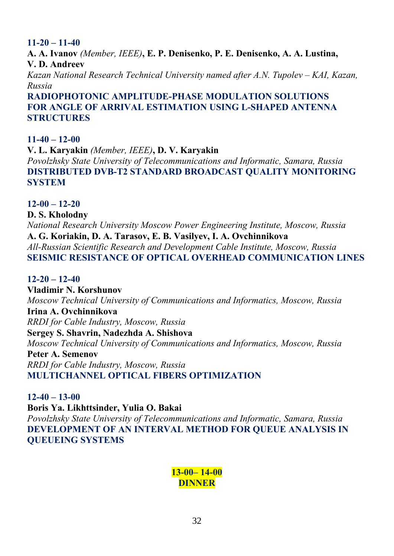# **11-20 – 11-40**

**A. A. Ivanov** *(Member, IEEE)***, E. P. Denisenko, P. E. Denisenko, A. A. Lustina, V. D. Andreev**  *Kazan National Research Technical University named after A.N. Tupolev – KAI, Kazan, Russia*  **RADIOPHOTONIC AMPLITUDE-PHASE MODULATION SOLUTIONS** 

# **FOR ANGLE OF ARRIVAL ESTIMATION USING L-SHAPED ANTENNA STRUCTURES**

# **11-40 – 12-00**

**V. L. Karyakin** *(Member, IEEE)***, D. V. Karyakin**  *Povolzhsky State University of Telecommunications and Informatic, Samara, Russia* **DISTRIBUTED DVB-T2 STANDARD BROADCAST QUALITY MONITORING SYSTEM** 

# **12-00 – 12-20**

# **D. S. Kholodny**

*National Research University Moscow Power Engineering Institute, Moscow, Russia*  **A. G. Koriakin, D. A. Tarasov, E. B. Vasilyev, I. A. Ovchinnikova**  *All-Russian Scientific Research and Development Cable Institute, Moscow, Russia*  **SEISMIC RESISTANCE OF OPTICAL OVERHEAD COMMUNICATION LINES** 

# **12-20 – 12-40**

**Vladimir N. Korshunov**  *Moscow Technical University of Communications and Informatics, Moscow, Russia*  **Irina A. Ovchinnikova**  *RRDI for Cable Industry, Moscow, Russia*  **Sergey S. Shavrin, Nadezhda A. Shishova**  *Moscow Technical University of Communications and Informatics, Moscow, Russia*  **Peter A. Semenov**  *RRDI for Cable Industry, Moscow, Russia* 

# **MULTICHANNEL OPTICAL FIBERS OPTIMIZATION**

# **12-40 – 13-00**

**Boris Ya. Likhttsinder, Yulia O. Bakai** 

*Povolzhsky State University of Telecommunications and Informatic, Samara, Russia*  **DEVELOPMENT OF AN INTERVAL METHOD FOR QUEUE ANALYSIS IN QUEUEING SYSTEMS** 

# **13-00– 14-00 DINNER**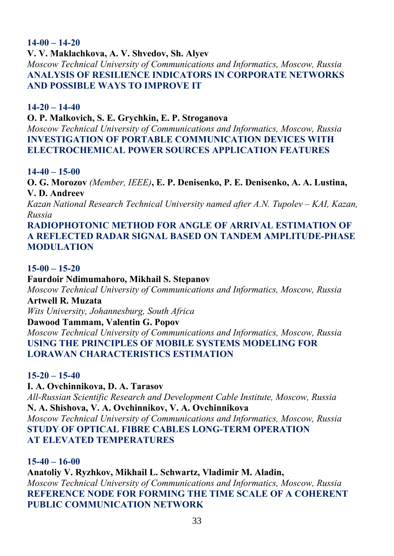# **14-00 – 14-20**

**V. V. Maklachkova, A. V. Shvedov, Sh. Alyev** 

*Moscow Technical University of Communications and Informatics, Moscow, Russia*  **ANALYSIS OF RESILIENCE INDICATORS IN CORPORATE NETWORKS AND POSSIBLE WAYS TO IMPROVE IT** 

#### **14-20 – 14-40**

#### **O. P. Malkovich, S. E. Grychkin, E. P. Stroganova**

*Moscow Technical University of Communications and Informatics, Moscow, Russia*  **INVESTIGATION OF PORTABLE COMMUNICATION DEVICES WITH ELECTROCHEMICAL POWER SOURCES APPLICATION FEATURES** 

#### **14-40 – 15-00**

**O. G. Morozov** *(Member, IEEE)***, E. P. Denisenko, P. E. Denisenko, A. A. Lustina, V. D. Andreev** 

*Kazan National Research Technical University named after A.N. Tupolev – KAI, Kazan, Russia* 

**RADIOPHOTONIC METHOD FOR ANGLE OF ARRIVAL ESTIMATION OF A REFLECTED RADAR SIGNAL BASED ON TANDEM AMPLITUDE-PHASE MODULATION** 

#### **15-00 – 15-20**

#### **Faurdoir Ndimumahoro, Mikhail S. Stepanov**

*Moscow Technical University of Communications and Informatics, Moscow, Russia* 

**Artwell R. Muzata** 

*Wits University, Johannesburg, South Africa* 

#### **Dawood Tammam, Valentin G. Popov**

*Moscow Technical University of Communications and Informatics, Moscow, Russia*  **USING THE PRINCIPLES OF MOBILE SYSTEMS MODELING FOR LORAWAN CHARACTERISTICS ESTIMATION** 

#### **15-20 – 15-40**

**I. A. Ovchinnikova, D. A. Tarasov** 

*All-Russian Scientific Research and Development Cable Institute, Moscow, Russia*  **N. A. Shishova, V. A. Ovchinnikov, V. A. Ovchinnikova**  *Moscow Technical University of Communications and Informatics, Moscow, Russia*  **STUDY OF OPTICAL FIBRE CABLES LONG-TERM OPERATION AT ELEVATED TEMPERATURES** 

#### **15-40 – 16-00**

**Anatoliy V. Ryzhkov, Mikhail L. Schwartz, Vladimir M. Aladin,**  *Moscow Technical University of Communications and Informatics, Moscow, Russia*  **REFERENCE NODE FOR FORMING THE TIME SCALE OF A COHERENT PUBLIC COMMUNICATION NETWORK**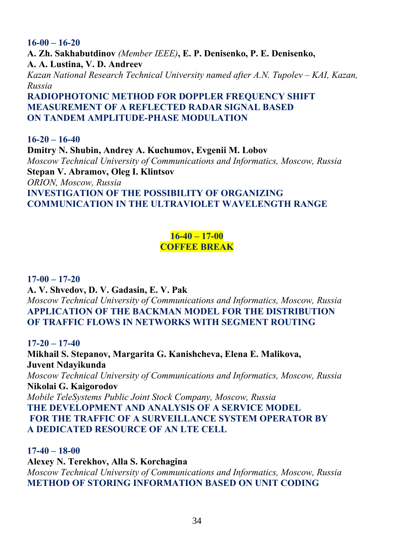**16-00 – 16-20 A. Zh. Sakhabutdinov** *(Member IEEE)***, E. P. Denisenko, P. E. Denisenko, A. A. Lustina, V. D. Andreev**  *Kazan National Research Technical University named after A.N. Tupolev – KAI, Kazan, Russia*  **RADIOPHOTONIC METHOD FOR DOPPLER FREQUENCY SHIFT** 

**MEASUREMENT OF A REFLECTED RADAR SIGNAL BASED ON TANDEM AMPLITUDE-PHASE MODULATION** 

**16-20 – 16-40 Dmitry N. Shubin, Andrey A. Kuchumov, Evgenii M. Lobov**  *Moscow Technical University of Communications and Informatics, Moscow, Russia*  **Stepan V. Abramov, Oleg I. Klintsov**  *ORION, Moscow, Russia*  **INVESTIGATION OF THE POSSIBILITY OF ORGANIZING COMMUNICATION IN THE ULTRAVIOLET WAVELENGTH RANGE** 

# **16-40 – 17-00 COFFEE BREAK**

**17-00 – 17-20 A. V. Shvedov, D. V. Gadasin, E. V. Pak**  *Moscow Technical University of Communications and Informatics, Moscow, Russia*  **APPLICATION OF THE BACKMAN MODEL FOR THE DISTRIBUTION OF TRAFFIC FLOWS IN NETWORKS WITH SEGMENT ROUTING** 

**17-20 – 17-40 Mikhail S. Stepanov, Margarita G. Kanishcheva, Elena E. Malikova, Juvent Ndayikunda**  *Moscow Technical University of Communications and Informatics, Moscow, Russia*  **Nikolai G. Kaigorodov**  *Mobile TeleSystems Public Joint Stock Company, Moscow, Russia*  **THE DEVELOPMENT AND ANALYSIS OF A SERVICE MODEL FOR THE TRAFFIC OF A SURVEILLANCE SYSTEM OPERATOR BY A DEDICATED RESOURCE OF AN LTE CELL** 

**17-40 – 18-00 Alexey N. Terekhov, Alla S. Korchagina**  *Moscow Technical University of Communications and Informatics, Moscow, Russia*  **METHOD OF STORING INFORMATION BASED ON UNIT CODING**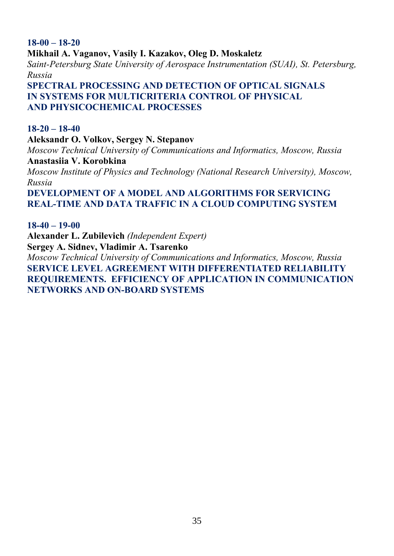**18-00 – 18-20 Mikhail A. Vaganov, Vasily I. Kazakov, Oleg D. Moskaletz**  *Saint-Petersburg State University of Aerospace Instrumentation (SUAI), St. Petersburg, Russia*  **SPECTRAL PROCESSING AND DETECTION OF OPTICAL SIGNALS IN SYSTEMS FOR MULTICRITERIA CONTROL OF PHYSICAL** 

# **AND PHYSICOCHEMICAL PROCESSES**

#### **18-20 – 18-40**

**Aleksandr O. Volkov, Sergey N. Stepanov**  *Moscow Technical University of Communications and Informatics, Moscow, Russia*  **Anastasiia V. Korobkina**  *Moscow Institute of Physics and Technology (National Research University), Moscow, Russia*  **DEVELOPMENT OF A MODEL AND ALGORITHMS FOR SERVICING REAL-TIME AND DATA TRAFFIC IN A CLOUD COMPUTING SYSTEM** 

**18-40 – 19-00 Alexander L. Zubilevich** *(Independent Expert)* **Sergey A. Sidnev, Vladimir A. Tsarenko**  *Moscow Technical University of Communications and Informatics, Moscow, Russia*  **SERVICE LEVEL AGREEMENT WITH DIFFERENTIATED RELIABILITY REQUIREMENTS. EFFICIENCY OF APPLICATION IN COMMUNICATION NETWORKS AND ON-BOARD SYSTEMS**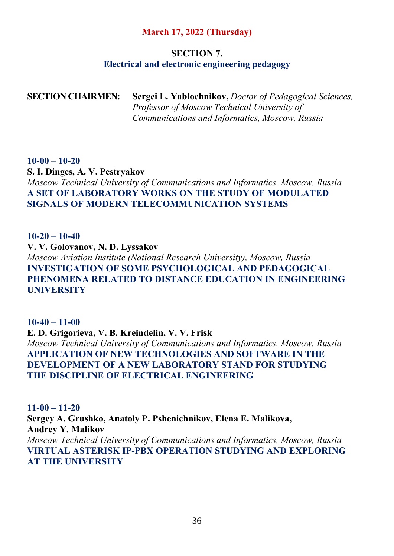# **March 17, 2022 (Thursday)**

#### **SECTION 7. Electrical and electronic engineering pedagogy**

**SECTION CHAIRMEN: Sergei L. Yablochnikov,** *Doctor of Pedagogical Sciences, Professor of Moscow Technical University of Communications and Informatics, Moscow, Russia*

#### **10-00 – 10-20**

**S. I. Dinges, A. V. Pestryakov**  *Moscow Technical University of Communications and Informatics, Moscow, Russia*  **A SET OF LABORATORY WORKS ON THE STUDY OF MODULATED SIGNALS OF MODERN TELECOMMUNICATION SYSTEMS** 

**10-20 – 10-40 V. V. Golovanov, N. D. Lyssakov**  *Moscow Aviation Institute (National Research University), Moscow, Russia*  **INVESTIGATION OF SOME PSYCHOLOGICAL AND PEDAGOGICAL PHENOMENA RELATED TO DISTANCE EDUCATION IN ENGINEERING UNIVERSITY** 

**10-40 – 11-00 E. D. Grigorieva, V. B. Kreindelin, V. V. Frisk**  *Moscow Technical University of Communications and Informatics, Moscow, Russia*  **APPLICATION OF NEW TECHNOLOGIES AND SOFTWARE IN THE DEVELOPMENT OF A NEW LABORATORY STAND FOR STUDYING THE DISCIPLINE OF ELECTRICAL ENGINEERING** 

**11-00 – 11-20 Sergey A. Grushko, Anatoly P. Pshenichnikov, Elena Е. Malikova, Andrey Y. Malikov**  *Moscow Technical University of Communications and Informatics, Moscow, Russia*  **VIRTUAL ASTERISK IP-PBX OPERATION STUDYING AND EXPLORING AT THE UNIVERSITY**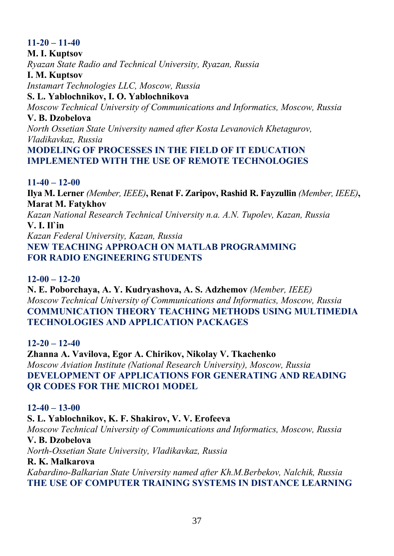# **11-20 – 11-40 M. I. Kuptsov**  *Ryazan State Radio and Technical University, Ryazan, Russia*  **I. M. Kuptsov**  *Instamart Technologies LLC, Moscow, Russia*  **S. L. Yablochnikov, I. O. Yablochnikova**  *Moscow Technical University of Communications and Informatics, Moscow, Russia*  **V. B. Dzobelova**  *North Ossetian State University named after Kosta Levanovich Khetagurov, Vladikavkaz, Russia*  **MODELING OF PROCESSES IN THE FIELD OF IT EDUCATION IMPLEMENTED WITH THE USE OF REMOTE TECHNOLOGIES**

# **11-40 – 12-00**

**Ilya M. Lerner** *(Member, IEEE)***, Renat F. Zaripov, Rashid R. Fayzullin** *(Member, IEEE)***, Marat M. Fatykhov**  *Kazan National Research Technical University n.a. A.N. Tupolev, Kazan, Russia*  **V. I. Il`in** 

*Kazan Federal University, Kazan, Russia* 

**NEW TEACHING APPROACH ON MATLAB PROGRAMMING FOR RADIO ENGINEERING STUDENTS** 

# **12-00 – 12-20**

**N. E. Poborchaya, A. Y. Kudryashova, A. S. Adzhemov** *(Member, IEEE) Moscow Technical University of Communications and Informatics, Moscow, Russia*  **COMMUNICATION THEORY TEACHING METHODS USING MULTIMEDIA TECHNOLOGIES AND APPLICATION PACKAGES** 

# **12-20 – 12-40**

**Zhanna A. Vavilova, Egor A. Chirikov, Nikolay V. Tkachenko**  *Moscow Aviation Institute (National Research University), Moscow, Russia*  **DEVELOPMENT OF APPLICATIONS FOR GENERATING AND READING QR CODES FOR THE MICRO1 MODEL** 

# **12-40 – 13-00**

**S. L. Yablochnikov, K. F. Shakirov, V. V. Erofeeva**  *Moscow Technical University of Communications and Informatics, Moscow, Russia*  **V. B. Dzobelova**  *North-Ossetian State University, Vladikavkaz, Russia*  **R. K. Malkarova**  *Kabardino-Balkarian State University named after Kh.M.Berbekov, Nalchik, Russia*  **THE USE OF COMPUTER TRAINING SYSTEMS IN DISTANCE LEARNING**